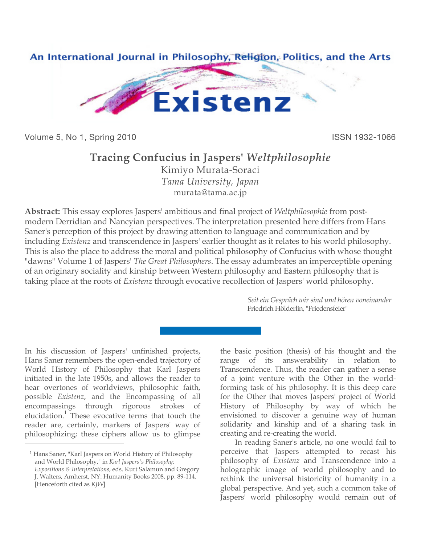

Volume 5, No 1, Spring 2010 **ISSN 1932-1066** 

## **Tracing Confucius in Jaspers'** *Weltphilosophie*

Kimiyo Murata-Soraci *Tama University, Japan* [murata@tama.ac.jp](mailto:murata@tama.ac.jp)

**Abstract:** This essay explores Jaspers' ambitious and final project of *Weltphilosophie* from postmodern Derridian and Nancyian perspectives. The interpretation presented here differs from Hans Saner's perception of this project by drawing attention to language and communication and by including *Existenz* and transcendence in Jaspers' earlier thought as it relates to his world philosophy. This is also the place to address the moral and political philosophy of Confucius with whose thought "dawns" Volume 1 of Jaspers' *The Great Philosophers*. The essay adumbrates an imperceptible opening of an originary sociality and kinship between Western philosophy and Eastern philosophy that is taking place at the roots of *Existenz* through evocative recollection of Jaspers' world philosophy.

> *Seit ein Gespräch wir sind und hören voneinander* Friedrich Hölderlin, "Friedensfeier"

In his discussion of Jaspers' unfinished projects, Hans Saner remembers the open-ended trajectory of World History of Philosophy that Karl Jaspers initiated in the late 1950s, and allows the reader to hear overtones of worldviews, philosophic faith, possible *Existenz*, and the Encompassing of all encompassings through rigorous strokes of elucidation.<sup>1</sup> These evocative terms that touch the reader are, certainly, markers of Jaspers' way of philosophizing; these ciphers allow us to glimpse

 $\overline{a}$ 

the basic position (thesis) of his thought and the range of its answerability in relation to Transcendence. Thus, the reader can gather a sense of a joint venture with the Other in the worldforming task of his philosophy. It is this deep care for the Other that moves Jaspers' project of World History of Philosophy by way of which he envisioned to discover a genuine way of human solidarity and kinship and of a sharing task in creating and re-creating the world.

In reading Saner's article, no one would fail to perceive that Jaspers attempted to recast his philosophy of *Existenz* and Transcendence into a holographic image of world philosophy and to rethink the universal historicity of humanity in a global perspective. And yet, such a common take of Jaspers' world philosophy would remain out of

<sup>1</sup> Hans Saner, "Karl Jaspers on World History of Philosophy and World Philosophy," in *Karl Jaspers's Philosophy: Expositions & Interpretations*, eds. Kurt Salamun and Gregory J. Walters, Amherst, NY: Humanity Books 2008, pp. 89-114. [Henceforth cited as *KJW*]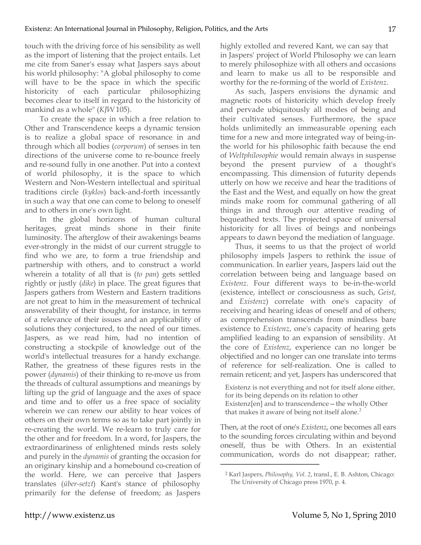touch with the driving force of his sensibility as well as the import of listening that the project entails. Let me cite from Saner's essay what Jaspers says about his world philosophy: "A global philosophy to come will have to be the space in which the specific historicity of each particular philosophizing becomes clear to itself in regard to the historicity of mankind as a whole" (*KJW* 105).

To create the space in which a free relation to Other and Transcendence keeps a dynamic tension is to realize a global space of resonance in and through which all bodies (*corporum*) of senses in ten directions of the universe come to re-bounce freely and re-sound fully in one another. Put into a context of world philosophy, it is the space to which Western and Non-Western intellectual and spiritual traditions circle (*kyklos*) back-and-forth incessantly in such a way that one can come to belong to oneself and to others in one's own light.

In the global horizons of human cultural heritages, great minds shone in their finite luminosity. The afterglow of their awakenings beams ever-strongly in the midst of our current struggle to find who we are, to form a true friendship and partnership with others, and to construct a world wherein a totality of all that is (*to pan*) gets settled rightly or justly (*dike*) in place. The great figures that Jaspers gathers from Western and Eastern traditions are not great to him in the measurement of technical answerability of their thought, for instance, in terms of a relevance of their issues and an applicability of solutions they conjectured, to the need of our times. Jaspers, as we read him, had no intention of constructing a stockpile of knowledge out of the world's intellectual treasures for a handy exchange. Rather, the greatness of these figures rests in the power (*dynamis*) of their thinking to re-move us from the threads of cultural assumptions and meanings by lifting up the grid of language and the axes of space and time and to offer us a free space of sociality wherein we can renew our ability to hear voices of others on their own terms so as to take part jointly in re-creating the world. We re-learn to truly care for the other and for freedom. In a word, for Jaspers, the extraordinariness of enlightened minds rests solely and purely in the *dynamis* of granting the occasion for an originary kinship and a homebound co-creation of the world. Here, we can perceive that Jaspers translates (*über-setzt*) Kant's stance of philosophy primarily for the defense of freedom; as Jaspers

highly extolled and revered Kant, we can say that in Jaspers' project of World Philosophy we can learn to merely philosophize with all others and occasions and learn to make us all to be responsible and worthy for the re-forming of the world of *Existenz*.

As such, Jaspers envisions the dynamic and magnetic roots of historicity which develop freely and pervade ubiquitously all modes of being and their cultivated senses. Furthermore, the space holds unlimitedly an immeasurable opening each time for a new and more integrated way of being-inthe world for his philosophic faith because the end of *Weltphilosophie* would remain always in suspense beyond the present purview of a thought's encompassing. This dimension of futurity depends utterly on how we receive and hear the traditions of the East and the West, and equally on how the great minds make room for communal gathering of all things in and through our attentive reading of bequeathed texts. The projected space of universal historicity for all lives of beings and nonbeings appears to dawn beyond the mediation of language.

Thus, it seems to us that the project of world philosophy impels Jaspers to rethink the issue of communication. In earlier years, Jaspers laid out the correlation between being and language based on *Existenz*. Four different ways to be-in-the-world (existence, intellect or consciousness as such, *Geist*, and *Existenz*) correlate with one's capacity of receiving and hearing ideas of oneself and of others; as comprehension transcends from mindless bare existence to *Existenz*, one's capacity of hearing gets amplified leading to an expansion of sensibility. At the core of *Existenz*, experience can no longer be objectified and no longer can one translate into terms of reference for self-realization. One is called to remain reticent; and yet, Jaspers has underscored that

Existenz is not everything and not for itself alone either, for its being depends on its relation to other Existenz[en] and to transcendence—the wholly Other that makes it aware of being not itself alone. $<sup>2</sup>$ </sup>

Then, at the root of one's *Existenz*, one becomes all ears to the sounding forces circulating within and beyond oneself, thus be with Others. In an existential communication, words do not disappear; rather,

<sup>2</sup> Karl Jaspers, *Philosophy, Vol. 2*, transl., E. B. Ashton, Chicago: The University of Chicago press 1970, p. 4.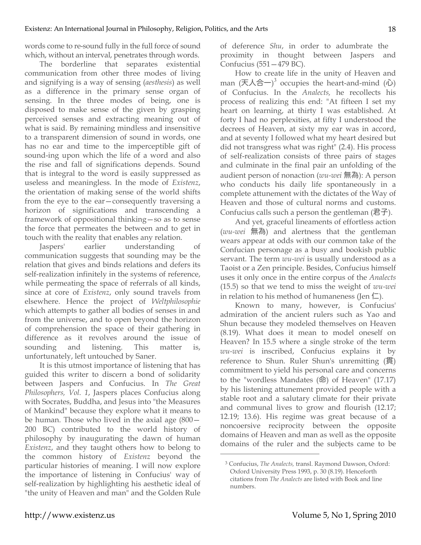words come to re-sound fully in the full force of sound which, without an interval, penetrates through words.

The borderline that separates existential communication from other three modes of living and signifying is a way of sensing (*aesthesis*) as well as a difference in the primary sense organ of sensing. In the three modes of being, one is disposed to make sense of the given by grasping perceived senses and extracting meaning out of what is said. By remaining mindless and insensitive to a transparent dimension of sound in words, one has no ear and time to the imperceptible gift of sound-ing upon which the life of a word and also the rise and fall of significations depends. Sound that is integral to the word is easily suppressed as useless and meaningless. In the mode of *Existenz*, the orientation of making sense of the world shifts from the eye to the ear—consequently traversing a horizon of significations and transcending a framework of oppositional thinking—so as to sense the force that permeates the between and to get in touch with the reality that enables any relation.

Jaspers' earlier understanding of communication suggests that sounding may be the relation that gives and binds relations and defers its self-realization infinitely in the systems of reference, while permeating the space of referrals of all kinds, since at core of *Existenz*, only sound travels from elsewhere. Hence the project of *Weltphilosophie* which attempts to gather all bodies of senses in and from the universe, and to open beyond the horizon of comprehension the space of their gathering in difference as it revolves around the issue of sounding and listening. This matter is, unfortunately, left untouched by Saner.

It is this utmost importance of listening that has guided this writer to discern a bond of solidarity between Jaspers and Confucius. In *The Great Philosophers, Vol. 1*, Jaspers places Confucius along with Socrates, Buddha, and Jesus into "the Measures of Mankind" because they explore what it means to be human. Those who lived in the axial age (800— 200 BC) contributed to the world history of philosophy by inaugurating the dawn of human *Existenz*, and they taught others how to belong to the common history of *Existenz* beyond the particular histories of meaning. I will now explore the importance of listening in Confucius' way of self-realization by highlighting his aesthetic ideal of "the unity of Heaven and man" and the Golden Rule

of deference *Shu*, in order to adumbrate the proximity in thought between Jaspers and Confucius (551—479 BC).

How to create life in the unity of Heaven and man  $( \overline{\mathcal{F}} \mathcal{A} \triangleq - \mathcal{F}^3$  occupies the heart-and-mind  $( \tilde{\mathcal{W}} )$ of Confucius. In the *Analects,* he recollects his process of realizing this end: "At fifteen I set my heart on learning, at thirty I was established. At forty I had no perplexities, at fifty I understood the decrees of Heaven, at sixty my ear was in accord, and at seventy I followed what my heart desired but did not transgress what was right" (2.4). His process of self-realization consists of three pairs of stages and culminate in the final pair an unfolding of the audient person of nonaction (*wu-wei* 無為): A person who conducts his daily life spontaneously in a complete attunement with the dictates of the Way of Heaven and those of cultural norms and customs. Confucius calls such a person the gentleman  $(2<sup>2</sup> + 1)<sup>2</sup>$ .

And yet, graceful lineaments of effortless action (*wu-wei* 無為) and alertness that the gentleman wears appear at odds with our common take of the Confucian personage as a busy and bookish public servant. The term *wu-wei* is usually understood as a Taoist or a Zen principle. Besides, Confucius himself uses it only once in the entire corpus of the *Analects* (15.5) so that we tend to miss the weight of *wu-wei* in relation to his method of humaneness (Jen  $\Box$ ).

Known to many, however, is Confucius' admiration of the ancient rulers such as Yao and Shun because they modeled themselves on Heaven (8.19). What does it mean to model oneself on Heaven? In 15.5 where a single stroke of the term *wu-wei* is inscribed, Confucius explains it by reference to Shun. Ruler Shun's unremitting (貫) commitment to yield his personal care and concerns to the "wordless Mandates (命) of Heaven" (17.17) by his listening attunement provided people with a stable root and a salutary climate for their private and communal lives to grow and flourish (12.17; 12.19; 13.6). His regime was great because of a noncoersive reciprocity between the opposite domains of Heaven and man as well as the opposite domains of the ruler and the subjects came to be

<sup>3</sup> Confucius, *The Analects,* transl. Raymond Dawson, Oxford: Oxford University Press 1993, p. 30 (8.19). Henceforth citations from *The Analects* are listed with Book and line numbers.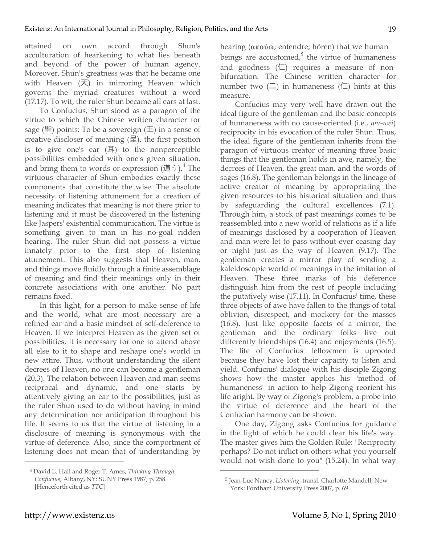attained on own accord through Shun's acculturation of hearkening to what lies beneath and beyond of the power of human agency. Moreover, Shun's greatness was that he became one with Heaven (天) in mirroring Heaven which governs the myriad creatures without a word (17.17). To wit, the ruler Shun became all ears at last.

To Confucius, Shun stood as a paragon of the virtue to which the Chinese written character for sage ( $\mathbb{E}$ ) points: To be a sovereign ( $\pm$ ) in a sense of creative discloser of meaning  $(\Xi)$ , the first position is to give one's ear (耳) to the nonperceptible possibilities embedded with one's given situation, and bring them to words or expression  $(\check{\mathbb{E}}^{\dagger})$ <sup>4</sup>. The virtuous character of Shun embodies exactly these components that constitute the wise. The absolute necessity of listening attunement for a creation of meaning indicates that meaning is not there prior to listening and it must be discovered in the listening like Jaspers' existential communication. The virtue is something given to man in his no-goal ridden hearing. The ruler Shun did not possess a virtue innately prior to the first step of listening attunement. This also suggests that Heaven, man, and things move fluidly through a finite assemblage of meaning and find their meanings only in their concrete associations with one another. No part remains fixed.

In this light, for a person to make sense of life and the world, what are most necessary are a refined ear and a basic mindset of self-deference to Heaven. If we interpret Heaven as the given set of possibilities, it is necessary for one to attend above all else to it to shape and reshape one's world in new attire. Thus, without understanding the silent decrees of Heaven, no one can become a gentleman (20.3). The relation between Heaven and man seems reciprocal and dynamic, and one starts by attentively giving an ear to the possibilities, just as the ruler Shun used to do without having in mind any determination nor anticipation throughout his life. It seems to us that the virtue of listening in a disclosure of meaning is synonymous with the virtue of deference. Also, since the comportment of listening does not mean that of understanding by

hearing (ακούω; entendre; hören) that we human beings are accustomed, $5$  the virtue of humaneness and goodness  $(\Box)$  requires a measure of nonbifurcation. The Chinese written character for number two  $(\square)$  in humaneness  $(\square)$  hints at this measure.

Confucius may very well have drawn out the ideal figure of the gentleman and the basic concepts of humaneness with no cause-oriented (i.e., *wu-wei*) reciprocity in his evocation of the ruler Shun. Thus, the ideal figure of the gentleman inherits from the paragon of virtuous creator of meaning three basic things that the gentleman holds in awe, namely, the decrees of Heaven, the great man, and the words of sages (16.8). The gentleman belongs in the lineage of active creator of meaning by appropriating the given resources to his historical situation and thus by safeguarding the cultural excellences (7.1). Through him, a stock of past meanings comes to be reassembled into a new world of relations as if a life of meanings disclosed by a cooperation of Heaven and man were let to pass without ever ceasing day or night just as the way of Heaven (9.17). The gentleman creates a mirror play of sending a kaleidoscopic world of meanings in the imitation of Heaven. These three marks of his deference distinguish him from the rest of people including the putatively wise (17.11). In Confucius' time, these three objects of awe have fallen to the things of total oblivion, disrespect, and mockery for the masses (16.8). Just like opposite facets of a mirror, the gentleman and the ordinary folks live out differently friendships (16.4) and enjoyments (16.5). The life of Confucius' fellowmen is uprooted because they have lost their capacity to listen and yield. Confucius' dialogue with his disciple Zigong shows how the master applies his "method of humaneness" in action to help Zigong reorient his life aright. By way of Zigong's problem, a probe into the virtue of deference and the heart of the Confucian harmony can be shown.

One day, Zigong asks Confucius for guidance in the light of which he could clear his life's way. The master gives him the Golden Rule: "Reciprocity perhaps? Do not inflict on others what you yourself would not wish done to you" (15.24). In what way

 $\overline{a}$ 

<sup>4</sup> David L. Hall and Roger T. Ames, *Thinking Through Confucius*, Albany, NY: SUNY Press 1987, p. 258. [Henceforth cited as *TTC*]

<sup>5</sup> Jean-Luc Nancy, *Listening*, transl. Charlotte Mandell, New York: Fordham University Press 2007, p. 69.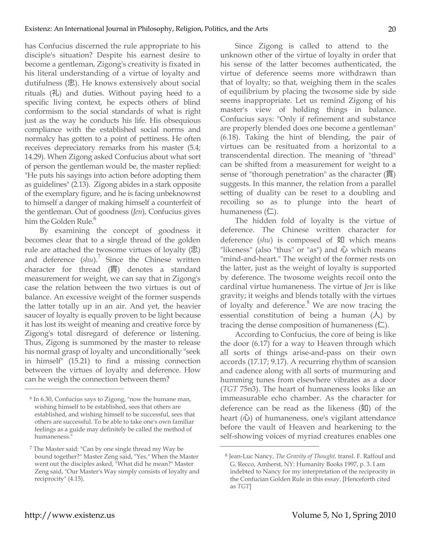has Confucius discerned the rule appropriate to his disciple's situation? Despite his earnest desire to become a gentleman, Zigong's creativity is fixated in his literal understanding of a virtue of loyalty and dutifulness (忠). He knows extensively about social rituals (礼) and duties. Without paying heed to a specific living context, he expects others of blind conformism to the social standards of what is right just as the way he conducts his life. His obsequious compliance with the established social norms and normalcy has gotten to a point of pettiness. He often receives depreciatory remarks from his master (5.4; 14.29). When Zigong asked Confucius about what sort of person the gentleman would be, the master replied: "He puts his sayings into action before adopting them as guidelines" (2.13). Zigong abides in a stark opposite of the exemplary figure, and he is facing unbeknownst to himself a danger of making himself a counterfeit of the gentleman. Out of goodness (*Jen*), Confucius gives him the Golden Rule.<sup>6</sup>

By examining the concept of goodness it becomes clear that to a single thread of the golden rule are attached the twosome virtues of loyalty (忠) and deference (shu).<sup>7</sup> Since the Chinese written character for thread (貫) denotes a standard measurement for weight, we can say that in Zigong's case the relation between the two virtues is out of balance. An excessive weight of the former suspends the latter totally up in an air. And yet, the heavier saucer of loyalty is equally proven to be light because it has lost its weight of meaning and creative force by Zigong's total disregard of deference or listening. Thus, Zigong is summoned by the master to release his normal grasp of loyalty and unconditionally "seek in himself" (15.21) to find a missing connection between the virtues of loyalty and deference. How can he weigh the connection between them?

Since Zigong is called to attend to the unknown other of the virtue of loyalty in order that his sense of the latter becomes authenticated, the virtue of deference seems more withdrawn than that of loyalty; so that, weighing them in the scales of equilibrium by placing the twosome side by side seems inappropriate. Let us remind Zigong of his master's view of holding things in balance. Confucius says: "Only if refinement and substance are properly blended does one become a gentleman" (6.18). Taking the hint of blending, the pair of virtues can be resituated from a horizontal to a transcendental direction. The meaning of "thread" can be shifted from a measurement for weight to a sense of "thorough penetration" as the character (貫) suggests. In this manner, the relation from a parallel setting of duality can be reset to a doubling and recoiling so as to plunge into the heart of humaneness  $(\sqsubset)$ .

The hidden fold of loyalty is the virtue of deference. The Chinese written character for deference (shu) is composed of 如 which means "likeness" (also "thus" or "as") and 心 which means "mind-and-heart." The weight of the former rests on the latter, just as the weight of loyalty is supported by deference. The twosome weights recoil onto the cardinal virtue humaneness. The virtue of *Jen* is like gravity; it weighs and blends totally with the virtues of loyalty and deference.<sup>8</sup> We are now tracing the essential constitution of being a human  $(\lambda)$  by tracing the dense composition of humaneness  $(\square)$ .

According to Confucius, the core of being is like the door (6.17) for a way to Heaven through which all sorts of things arise-and-pass on their own accords (17.17; 9.17). A recurring rhythm of scansion and cadence along with all sorts of murmuring and humming tunes from elsewhere vibrates as a door (*TGT* 75n3). The heart of humaneness looks like an immeasurable echo chamber. As the character for deference can be read as the likeness  $(\mathcal{X})$  of the heart  $(\tilde{U})$  of humaneness, one's vigilant attendance before the vault of Heaven and hearkening to the self-showing voices of myriad creatures enables one

 $\overline{a}$ 

<sup>6</sup> In 6.30, Confucius says to Zigong, "now the humane man, wishing himself to be established, sees that others are established, and wishing himself to be successful, sees that others are successful. To be able to take one's own familiar feelings as a guide may definitely be called the method of humaneness."

<sup>7</sup> The Master said: "Can by one single thread my Way be bound together?" Master Zeng said, "Yes." When the Master went out the disciples asked, "What did he mean?" Master Zeng said, "Our Master's Way simply consists of loyalty and reciprocity" (4.15).

<sup>8</sup> Jean-Luc Nancy, *The Gravity of Thought,* transl. F. Raffoul and G. Recco, Amherst, NY: Humanity Books 1997, p. 3. I am indebted to Nancy for my interpretation of the reciprocity in the Confucian Golden Rule in this essay. [Henceforth cited as *TGT*]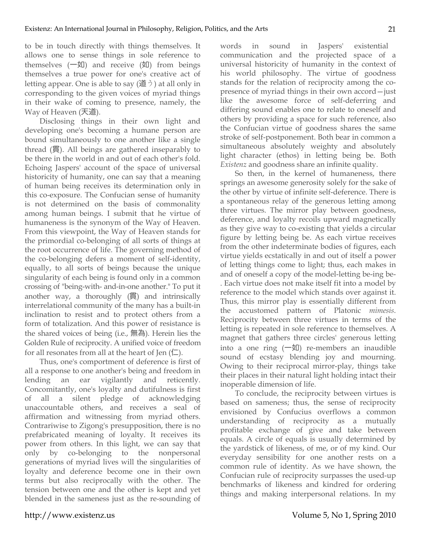to be in touch directly with things themselves. It allows one to sense things in sole reference to themselves  $(-2\text{I})$  and receive  $(2\text{I})$  from beings themselves a true power for one's creative act of letting appear. One is able to say  $(\check{\boxplus} \; \dot{\ni})$  at all only in corresponding to the given voices of myriad things in their wake of coming to presence, namely, the Way of Heaven (天道).

Disclosing things in their own light and developing one's becoming a humane person are bound simultaneously to one another like a single thread (貫). All beings are gathered inseparably to be there in the world in and out of each other's fold. Echoing Jaspers' account of the space of universal historicity of humanity, one can say that a meaning of human being receives its determination only in this co-exposure. The Confucian sense of humanity is not determined on the basis of commonality among human beings. I submit that he virtue of humaneness is the synonym of the Way of Heaven. From this viewpoint, the Way of Heaven stands for the primordial co-belonging of all sorts of things at the root occurrence of life. The governing method of the co-belonging defers a moment of self-identity, equally, to all sorts of beings because the unique singularity of each being is found only in a common crossing of "being-with- and-in-one another." To put it another way, a thoroughly (貫) and intrinsically interrelational community of the many has a built-in inclination to resist and to protect others from a form of totalization. And this power of resistance is the shared voices of being (i.e., 無為). Herein lies the Golden Rule of reciprocity. A unified voice of freedom for all resonates from all at the heart of Jen  $(1)$ .

Thus, one's comportment of deference is first of all a response to one another's being and freedom in lending an ear vigilantly and reticently. Concomitantly, one's loyalty and dutifulness is first of all a silent pledge of acknowledging unaccountable others, and receives a seal of affirmation and witnessing from myriad others. Contrariwise to Zigong's presupposition, there is no prefabricated meaning of loyalty. It receives its power from others. In this light, we can say that only by co-belonging to the nonpersonal generations of myriad lives will the singularities of loyalty and deference become one in their own terms but also reciprocally with the other. The tension between one and the other is kept and yet blended in the sameness just as the re-sounding of words in sound in Jaspers' existential communication and the projected space of a universal historicity of humanity in the context of his world philosophy. The virtue of goodness stands for the relation of reciprocity among the copresence of myriad things in their own accord—just like the awesome force of self-deferring and differing sound enables one to relate to oneself and others by providing a space for such reference, also the Confucian virtue of goodness shares the same stroke of self-postponement. Both bear in common a simultaneous absolutely weighty and absolutely light character (ethos) in letting being be. Both *Existenz* and goodness share an infinite quality.

So then, in the kernel of humaneness, there springs an awesome generosity solely for the sake of the other by virtue of infinite self-deference. There is a spontaneous relay of the generous letting among three virtues. The mirror play between goodness, deference, and loyalty recoils upward magnetically as they give way to co-existing that yields a circular figure by letting being be. As each virtue receives from the other indeterminate bodies of figures, each virtue yields ecstatically in and out of itself a power of letting things come to light; thus, each makes in and of oneself a copy of the model-letting be-ing be- . Each virtue does not make itself fit into a model by reference to the model which stands over against it. Thus, this mirror play is essentially different from the accustomed pattern of Platonic *mimesis*. Reciprocity between three virtues in terms of the letting is repeated in sole reference to themselves. A magnet that gathers three circles' generous letting into a one ring  $(-\frac{1}{2})$  re-members an inaudible sound of ecstasy blending joy and mourning. Owing to their reciprocal mirror-play, things take their places in their natural light holding intact their inoperable dimension of life.

To conclude, the reciprocity between virtues is based on sameness; thus, the sense of reciprocity envisioned by Confucius overflows a common understanding of reciprocity as a mutually profitable exchange of give and take between equals. A circle of equals is usually determined by the yardstick of likeness, of me, or of my kind. Our everyday sensibility for one another rests on a common rule of identity. As we have shown, the Confucian rule of reciprocity surpasses the used-up benchmarks of likeness and kindred for ordering things and making interpersonal relations. In my